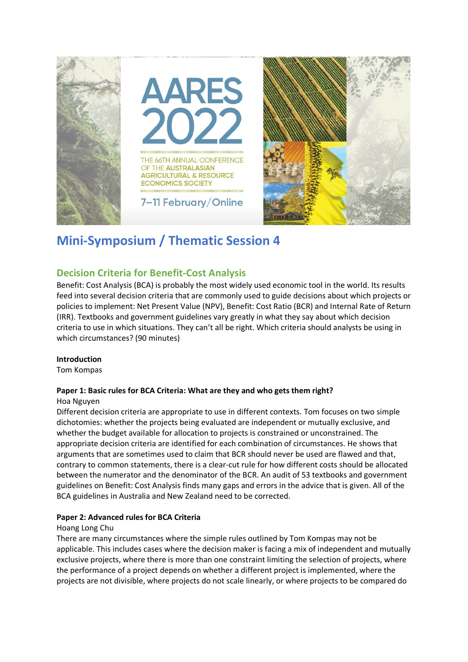

# **Mini-Symposium / Thematic Session 4**

## **Decision Criteria for Benefit-Cost Analysis**

Benefit: Cost Analysis (BCA) is probably the most widely used economic tool in the world. Its results feed into several decision criteria that are commonly used to guide decisions about which projects or policies to implement: Net Present Value (NPV), Benefit: Cost Ratio (BCR) and Internal Rate of Return (IRR). Textbooks and government guidelines vary greatly in what they say about which decision criteria to use in which situations. They can't all be right. Which criteria should analysts be using in which circumstances? (90 minutes)

## **Introduction**

Tom Kompas

## **Paper 1: Basic rules for BCA Criteria: What are they and who gets them right?**

### Hoa Nguyen

Different decision criteria are appropriate to use in different contexts. Tom focuses on two simple dichotomies: whether the projects being evaluated are independent or mutually exclusive, and whether the budget available for allocation to projects is constrained or unconstrained. The appropriate decision criteria are identified for each combination of circumstances. He shows that arguments that are sometimes used to claim that BCR should never be used are flawed and that, contrary to common statements, there is a clear-cut rule for how different costs should be allocated between the numerator and the denominator of the BCR. An audit of 53 textbooks and government guidelines on Benefit: Cost Analysis finds many gaps and errors in the advice that is given. All of the BCA guidelines in Australia and New Zealand need to be corrected.

## **Paper 2: Advanced rules for BCA Criteria**

### Hoang Long Chu

There are many circumstances where the simple rules outlined by Tom Kompas may not be applicable. This includes cases where the decision maker is facing a mix of independent and mutually exclusive projects, where there is more than one constraint limiting the selection of projects, where the performance of a project depends on whether a different project is implemented, where the projects are not divisible, where projects do not scale linearly, or where projects to be compared do